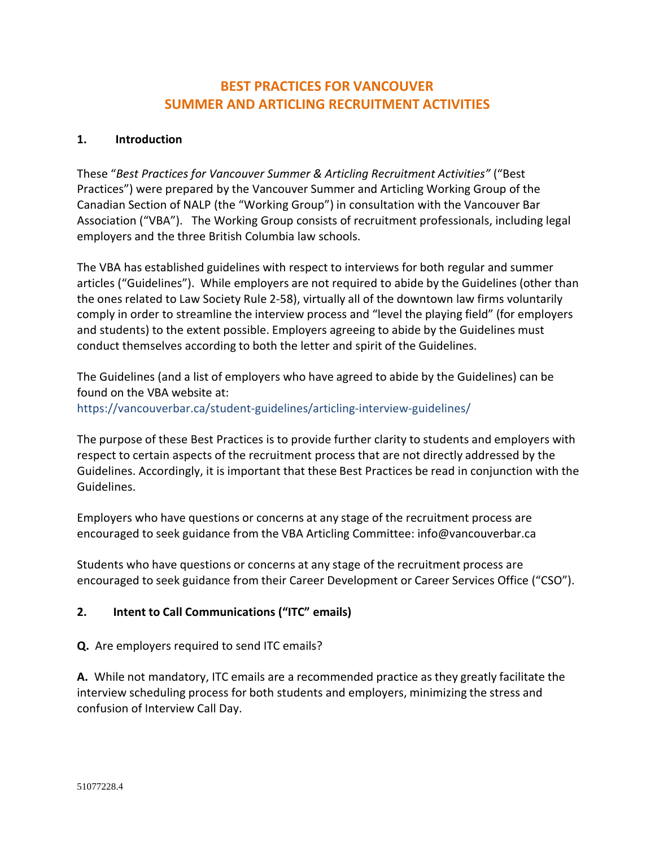# **BEST PRACTICES FOR VANCOUVER SUMMER AND ARTICLING RECRUITMENT ACTIVITIES**

# **1. Introduction**

These "*Best Practices for Vancouver Summer & Articling Recruitment Activities"* ("Best Practices") were prepared by the Vancouver Summer and Articling Working Group of the Canadian Section of NALP (the "Working Group") in consultation with the Vancouver Bar Association ("VBA"). The Working Group consists of recruitment professionals, including legal employers and the three British Columbia law schools.

The VBA has established guidelines with respect to interviews for both regular and summer articles ("Guidelines"). While employers are not required to abide by the Guidelines (other than the ones related to Law Society Rule 2-58), virtually all of the downtown law firms voluntarily comply in order to streamline the interview process and "level the playing field" (for employers and students) to the extent possible. Employers agreeing to abide by the Guidelines must conduct themselves according to both the letter and spirit of the Guidelines.

The Guidelines (and a list of employers who have agreed to abide by the Guidelines) can be found on the VBA website at: https://vancouverbar.ca/student-guidelines/articling-interview-guidelines/

The purpose of these Best Practices is to provide further clarity to students and employers with respect to certain aspects of the recruitment process that are not directly addressed by the Guidelines. Accordingly, it is important that these Best Practices be read in conjunction with the Guidelines.

Employers who have questions or concerns at any stage of the recruitment process are encouraged to seek guidance from the VBA Articling Committee: info@vancouverbar.ca

Students who have questions or concerns at any stage of the recruitment process are encouraged to seek guidance from their Career Development or Career Services Office ("CSO").

## **2. Intent to Call Communications ("ITC" emails)**

**Q.** Are employers required to send ITC emails?

**A.** While not mandatory, ITC emails are a recommended practice as they greatly facilitate the interview scheduling process for both students and employers, minimizing the stress and confusion of Interview Call Day.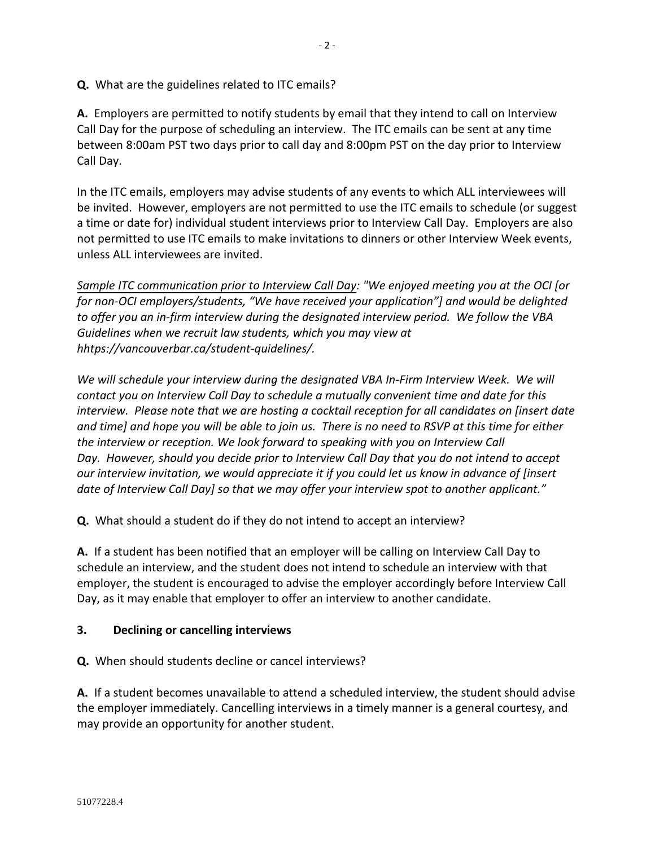**Q.** What are the guidelines related to ITC emails?

**A.** Employers are permitted to notify students by email that they intend to call on Interview Call Day for the purpose of scheduling an interview. The ITC emails can be sent at any time between 8:00am PST two days prior to call day and 8:00pm PST on the day prior to Interview Call Day.

In the ITC emails, employers may advise students of any events to which ALL interviewees will be invited. However, employers are not permitted to use the ITC emails to schedule (or suggest a time or date for) individual student interviews prior to Interview Call Day. Employers are also not permitted to use ITC emails to make invitations to dinners or other Interview Week events, unless ALL interviewees are invited.

*Sample ITC communication prior to Interview Call Day: "We enjoyed meeting you at the OCI [or for non-OCI employers/students, "We have received your application"] and would be delighted to offer you an in-firm interview during the designated interview period. We follow the VBA Guidelines when we recruit law students, which you may view at hhtps://vancouverbar.ca/student-quidelines/.*

*We will schedule your interview during the designated VBA In-Firm Interview Week. We will contact you on Interview Call Day to schedule a mutually convenient time and date for this interview. Please note that we are hosting a cocktail reception for all candidates on [insert date and time] and hope you will be able to join us. There is no need to RSVP at this time for either the interview or reception. We look forward to speaking with you on Interview Call Day. However, should you decide prior to Interview Call Day that you do not intend to accept our interview invitation, we would appreciate it if you could let us know in advance of [insert date of Interview Call Day] so that we may offer your interview spot to another applicant."*

**Q.** What should a student do if they do not intend to accept an interview?

**A.** If a student has been notified that an employer will be calling on Interview Call Day to schedule an interview, and the student does not intend to schedule an interview with that employer, the student is encouraged to advise the employer accordingly before Interview Call Day, as it may enable that employer to offer an interview to another candidate.

## **3. Declining or cancelling interviews**

**Q.** When should students decline or cancel interviews?

**A.** If a student becomes unavailable to attend a scheduled interview, the student should advise the employer immediately. Cancelling interviews in a timely manner is a general courtesy, and may provide an opportunity for another student.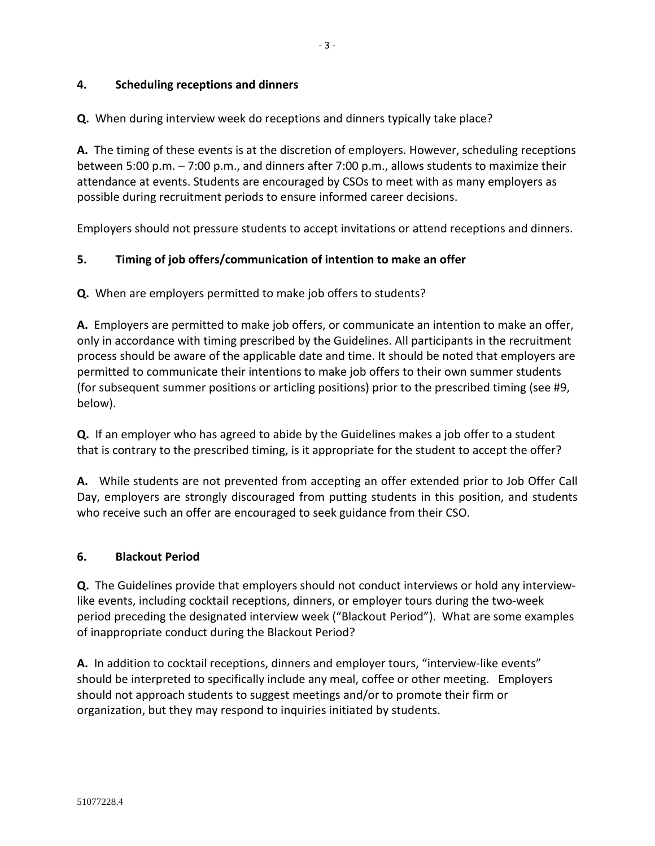## **4. Scheduling receptions and dinners**

**Q.** When during interview week do receptions and dinners typically take place?

**A.** The timing of these events is at the discretion of employers. However, scheduling receptions between 5:00 p.m. – 7:00 p.m., and dinners after 7:00 p.m., allows students to maximize their attendance at events. Students are encouraged by CSOs to meet with as many employers as possible during recruitment periods to ensure informed career decisions.

Employers should not pressure students to accept invitations or attend receptions and dinners.

#### **5. Timing of job offers/communication of intention to make an offer**

**Q.** When are employers permitted to make job offers to students?

**A.** Employers are permitted to make job offers, or communicate an intention to make an offer, only in accordance with timing prescribed by the Guidelines. All participants in the recruitment process should be aware of the applicable date and time. It should be noted that employers are permitted to communicate their intentions to make job offers to their own summer students (for subsequent summer positions or articling positions) prior to the prescribed timing (see #9, below).

**Q.** If an employer who has agreed to abide by the Guidelines makes a job offer to a student that is contrary to the prescribed timing, is it appropriate for the student to accept the offer?

**A.** While students are not prevented from accepting an offer extended prior to Job Offer Call Day, employers are strongly discouraged from putting students in this position, and students who receive such an offer are encouraged to seek guidance from their CSO.

#### **6. Blackout Period**

**Q.** The Guidelines provide that employers should not conduct interviews or hold any interviewlike events, including cocktail receptions, dinners, or employer tours during the two-week period preceding the designated interview week ("Blackout Period"). What are some examples of inappropriate conduct during the Blackout Period?

**A.** In addition to cocktail receptions, dinners and employer tours, "interview-like events" should be interpreted to specifically include any meal, coffee or other meeting. Employers should not approach students to suggest meetings and/or to promote their firm or organization, but they may respond to inquiries initiated by students.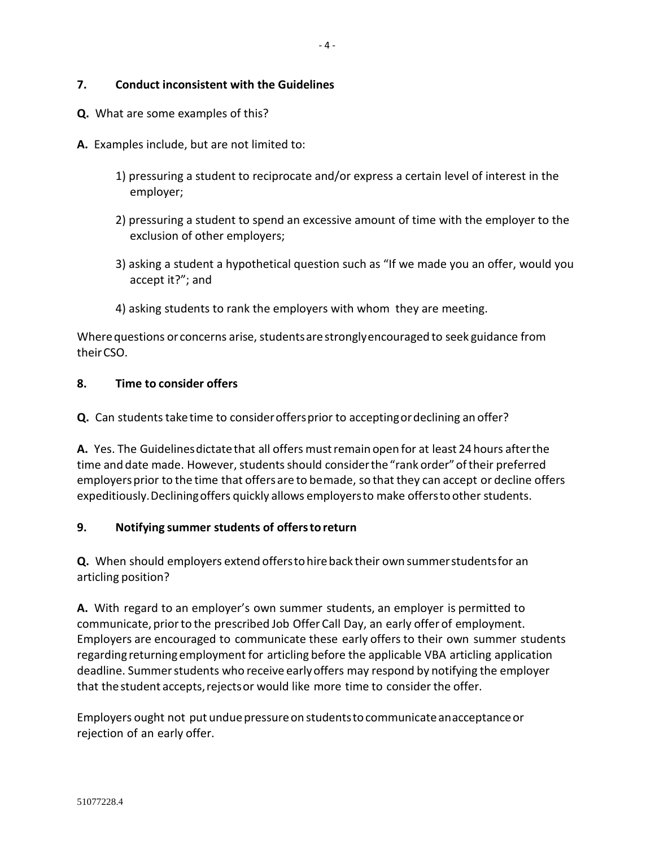#### **7. Conduct inconsistent with the Guidelines**

- **Q.** What are some examples of this?
- **A.** Examples include, but are not limited to:
	- 1) pressuring a student to reciprocate and/or express a certain level of interest in the employer;
	- 2) pressuring a student to spend an excessive amount of time with the employer to the exclusion of other employers;
	- 3) asking a student a hypothetical question such as "If we made you an offer, would you accept it?"; and
	- 4) asking students to rank the employers with whom they are meeting.

Where questions or concerns arise, students are strongly encouraged to seek guidance from their CSO.

#### **8. Time to consider offers**

**Q.** Can students take time to consideroffersprior to acceptingordeclining an offer?

A. Yes. The Guidelines dictate that all offers must remain open for at least 24 hours after the time and date made. However, students should consider the"rank order"of their preferred employers prior to the time that offers are to bemade, so that they can accept or decline offers expeditiously.Decliningoffers quickly allows employersto make offers to other students.

#### **9. Notifying summer students of offers to return**

**Q.** When should employers extend offersto hireback their own summerstudents for an articling position?

**A.** With regard to an employer's own summer students, an employer is permitted to communicate, prior to the prescribed Job Offer Call Day, an early offer of employment. Employers are encouraged to communicate these early offers to their own summer students regarding returning employment for articling before the applicable VBA articling application deadline. Summer students who receive earlyoffers may respond by notifying the employer that the student accepts, rejects or would like more time to consider the offer.

Employers ought not put undue pressure on studentsto communicate anacceptance or rejection of an early offer.